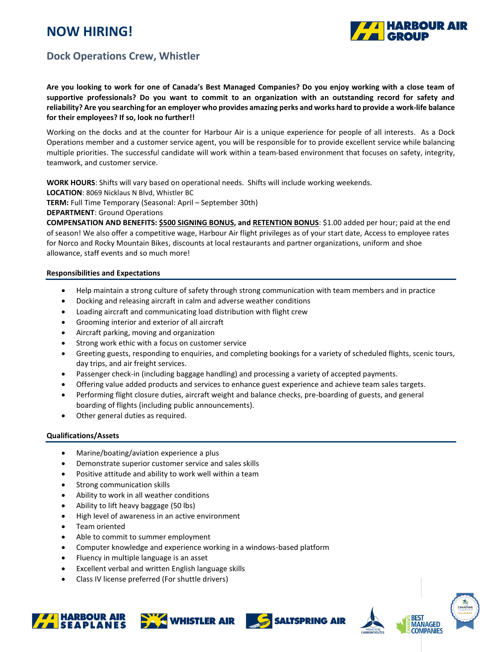# **NOW HIRING!**



# **Dock Operations Crew, Whistler**

**Are you looking to work for one of Canada's Best Managed Companies? Do you enjoy working with a close team of supportive professionals? Do you want to commit to an organization with an outstanding record for safety and reliability? Are you searching for an employer who provides amazing perks and works hard to provide a work-life balance for their employees? If so, look no further!!**

Working on the docks and at the counter for Harbour Air is a unique experience for people of all interests. As a Dock Operations member and a customer service agent, you will be responsible for to provide excellent service while balancing multiple priorities. The successful candidate will work within a team-based environment that focuses on safety, integrity, teamwork, and customer service.

**WORK HOURS**: Shifts will vary based on operational needs. Shifts will include working weekends.

**LOCATION**: 8069 Nicklaus N Blvd, Whistler BC

**TERM:** Full Time Temporary (Seasonal: April – September 30th)

**DEPARTMENT**: Ground Operations

**COMPENSATION AND BENEFITS: \$500 SIGNING BONUS, and RETENTION BONUS**: \$1.00 added per hour; paid at the end of season! We also offer a competitive wage, Harbour Air flight privileges as of your start date, Access to employee rates for Norco and Rocky Mountain Bikes, discounts at local restaurants and partner organizations, uniform and shoe allowance, staff events and so much more!

## **Responsibilities and Expectations**

- Help maintain a strong culture of safety through strong communication with team members and in practice
- Docking and releasing aircraft in calm and adverse weather conditions
- Loading aircraft and communicating load distribution with flight crew
- Grooming interior and exterior of all aircraft
- Aircraft parking, moving and organization
- Strong work ethic with a focus on customer service
- Greeting guests, responding to enquiries, and completing bookings for a variety of scheduled flights, scenic tours, day trips, and air freight services.
- Passenger check-in (including baggage handling) and processing a variety of accepted payments.
- Offering value added products and services to enhance guest experience and achieve team sales targets.
- Performing flight closure duties, aircraft weight and balance checks, pre-boarding of guests, and general boarding of flights (including public announcements).
- Other general duties as required.

#### **Qualifications/Assets**

- Marine/boating/aviation experience a plus
- Demonstrate superior customer service and sales skills
- Positive attitude and ability to work well within a team
- Strong communication skills
- Ability to work in all weather conditions
- Ability to lift heavy baggage (50 lbs)
- High level of awareness in an active environment
- Team oriented
- Able to commit to summer employment
- Computer knowledge and experience working in a windows-based platform
- Fluency in multiple language is an asset
- Excellent verbal and written English language skills
- Class IV license preferred (For shuttle drivers)